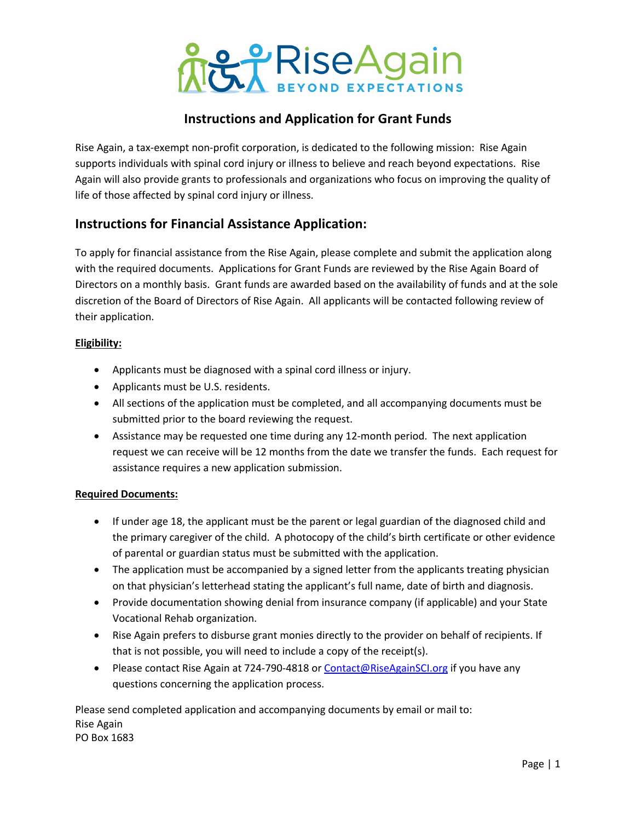

## **Instructions and Application for Grant Funds**

Rise Again, a tax-exempt non-profit corporation, is dedicated to the following mission: Rise Again supports individuals with spinal cord injury or illness to believe and reach beyond expectations. Rise Again will also provide grants to professionals and organizations who focus on improving the quality of life of those affected by spinal cord injury or illness.

### **Instructions for Financial Assistance Application:**

To apply for financial assistance from the Rise Again, please complete and submit the application along with the required documents. Applications for Grant Funds are reviewed by the Rise Again Board of Directors on a monthly basis. Grant funds are awarded based on the availability of funds and at the sole discretion of the Board of Directors of Rise Again. All applicants will be contacted following review of their application.

#### **Eligibility:**

- Applicants must be diagnosed with a spinal cord illness or injury.
- Applicants must be U.S. residents.
- All sections of the application must be completed, and all accompanying documents must be submitted prior to the board reviewing the request.
- Assistance may be requested one time during any 12-month period. The next application request we can receive will be 12 months from the date we transfer the funds. Each request for assistance requires a new application submission.

#### **Required Documents:**

- If under age 18, the applicant must be the parent or legal guardian of the diagnosed child and the primary caregiver of the child. A photocopy of the child's birth certificate or other evidence of parental or guardian status must be submitted with the application.
- The application must be accompanied by a signed letter from the applicants treating physician on that physician's letterhead stating the applicant's full name, date of birth and diagnosis.
- Provide documentation showing denial from insurance company (if applicable) and your State Vocational Rehab organization.
- Rise Again prefers to disburse grant monies directly to the provider on behalf of recipients. If that is not possible, you will need to include a copy of the receipt(s).
- Please contact Rise Again at 724-790-4818 or Contact@RiseAgainSCI.org if you have any questions concerning the application process.

Please send completed application and accompanying documents by email or mail to: Rise Again PO Box 1683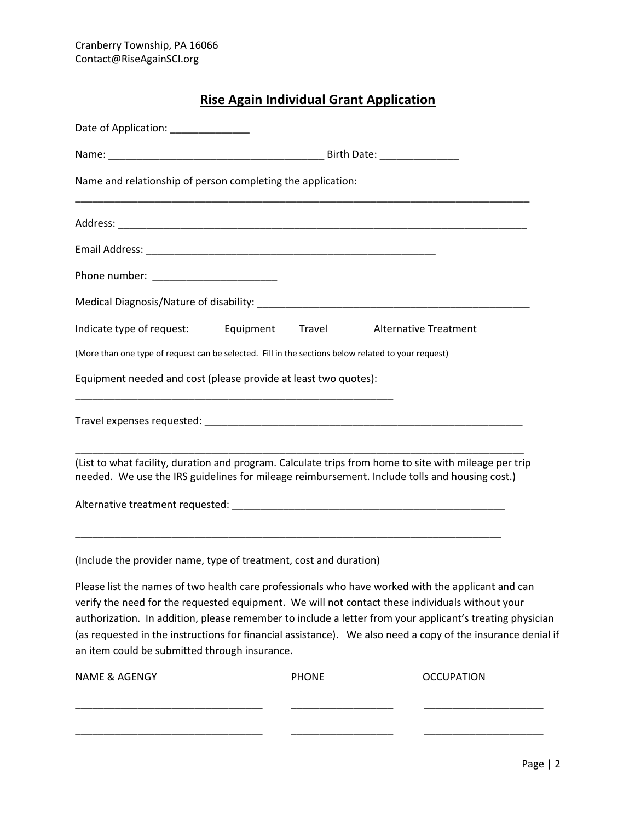## **Rise Again Individual Grant Application**

| Date of Application: ______________                                                                                                                                                                                                                   |              |                                                                                                                                                                                                                         |
|-------------------------------------------------------------------------------------------------------------------------------------------------------------------------------------------------------------------------------------------------------|--------------|-------------------------------------------------------------------------------------------------------------------------------------------------------------------------------------------------------------------------|
|                                                                                                                                                                                                                                                       |              |                                                                                                                                                                                                                         |
| Name and relationship of person completing the application:                                                                                                                                                                                           |              |                                                                                                                                                                                                                         |
|                                                                                                                                                                                                                                                       |              |                                                                                                                                                                                                                         |
|                                                                                                                                                                                                                                                       |              |                                                                                                                                                                                                                         |
|                                                                                                                                                                                                                                                       |              |                                                                                                                                                                                                                         |
|                                                                                                                                                                                                                                                       |              |                                                                                                                                                                                                                         |
| Indicate type of request: Equipment Travel                                                                                                                                                                                                            |              | <b>Alternative Treatment</b>                                                                                                                                                                                            |
| (More than one type of request can be selected. Fill in the sections below related to your request)                                                                                                                                                   |              |                                                                                                                                                                                                                         |
| Equipment needed and cost (please provide at least two quotes):                                                                                                                                                                                       |              |                                                                                                                                                                                                                         |
|                                                                                                                                                                                                                                                       |              |                                                                                                                                                                                                                         |
| (List to what facility, duration and program. Calculate trips from home to site with mileage per trip<br>needed. We use the IRS guidelines for mileage reimbursement. Include tolls and housing cost.)                                                |              |                                                                                                                                                                                                                         |
|                                                                                                                                                                                                                                                       |              |                                                                                                                                                                                                                         |
| (Include the provider name, type of treatment, cost and duration)                                                                                                                                                                                     |              |                                                                                                                                                                                                                         |
| Please list the names of two health care professionals who have worked with the applicant and can<br>verify the need for the requested equipment. We will not contact these individuals without your<br>an item could be submitted through insurance. |              | authorization. In addition, please remember to include a letter from your applicant's treating physician<br>(as requested in the instructions for financial assistance). We also need a copy of the insurance denial if |
| <b>NAME &amp; AGENGY</b>                                                                                                                                                                                                                              | <b>PHONE</b> | <b>OCCUPATION</b>                                                                                                                                                                                                       |
|                                                                                                                                                                                                                                                       |              |                                                                                                                                                                                                                         |
|                                                                                                                                                                                                                                                       |              |                                                                                                                                                                                                                         |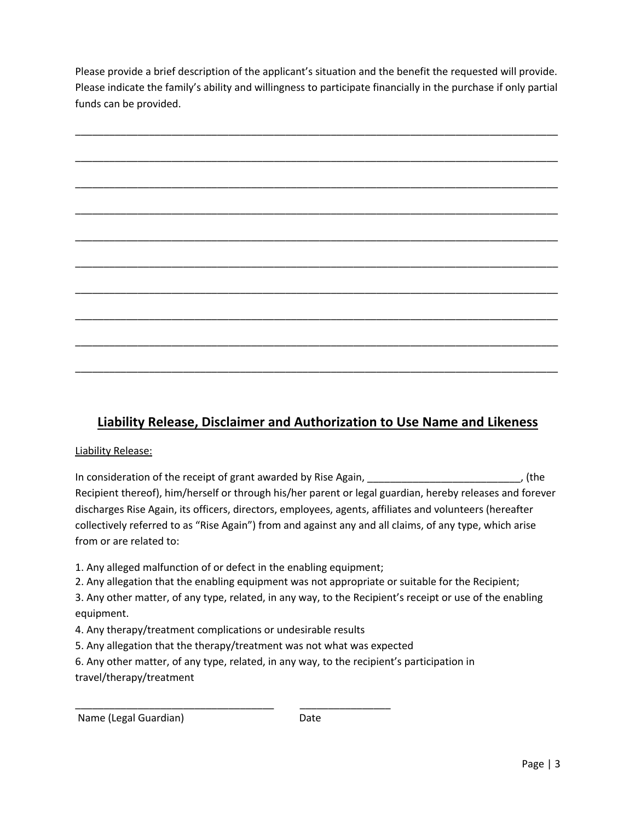Please provide a brief description of the applicant's situation and the benefit the requested will provide. Please indicate the family's ability and willingness to participate financially in the purchase if only partial funds can be provided.



## **Liability Release, Disclaimer and Authorization to Use Name and Likeness**

#### Liability Release:

In consideration of the receipt of grant awarded by Rise Again, The consideration of the receipt of grant awarded by Rise Again, Recipient thereof), him/herself or through his/her parent or legal guardian, hereby releases and forever discharges Rise Again, its officers, directors, employees, agents, affiliates and volunteers (hereafter collectively referred to as "Rise Again") from and against any and all claims, of any type, which arise from or are related to:

- 1. Any alleged malfunction of or defect in the enabling equipment;
- 2. Any allegation that the enabling equipment was not appropriate or suitable for the Recipient;
- 3. Any other matter, of any type, related, in any way, to the Recipient's receipt or use of the enabling equipment.
- 4. Any therapy/treatment complications or undesirable results
- 5. Any allegation that the therapy/treatment was not what was expected

\_\_\_\_\_\_\_\_\_\_\_\_\_\_\_\_\_\_\_\_\_\_\_\_\_\_\_\_\_\_\_\_\_\_\_ \_\_\_\_\_\_\_\_\_\_\_\_\_\_\_\_

6. Any other matter, of any type, related, in any way, to the recipient's participation in travel/therapy/treatment

Name (Legal Guardian) Date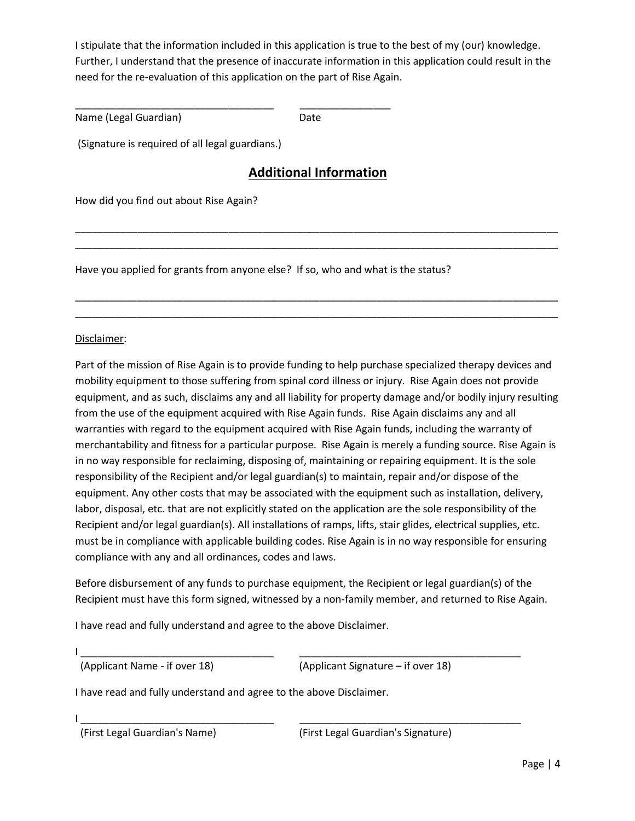I stipulate that the information included in this application is true to the best of my (our) knowledge. Further, I understand that the presence of inaccurate information in this application could result in the need for the re-evaluation of this application on the part of Rise Again.

Name (Legal Guardian) Date

(Signature is required of all legal guardians.)

\_\_\_\_\_\_\_\_\_\_\_\_\_\_\_\_\_\_\_\_\_\_\_\_\_\_\_\_\_\_\_\_\_\_\_ \_\_\_\_\_\_\_\_\_\_\_\_\_\_\_\_

## **Additional Information**

\_\_\_\_\_\_\_\_\_\_\_\_\_\_\_\_\_\_\_\_\_\_\_\_\_\_\_\_\_\_\_\_\_\_\_\_\_\_\_\_\_\_\_\_\_\_\_\_\_\_\_\_\_\_\_\_\_\_\_\_\_\_\_\_\_\_\_\_\_\_\_\_\_\_\_\_\_\_\_\_\_\_\_\_\_ \_\_\_\_\_\_\_\_\_\_\_\_\_\_\_\_\_\_\_\_\_\_\_\_\_\_\_\_\_\_\_\_\_\_\_\_\_\_\_\_\_\_\_\_\_\_\_\_\_\_\_\_\_\_\_\_\_\_\_\_\_\_\_\_\_\_\_\_\_\_\_\_\_\_\_\_\_\_\_\_\_\_\_\_\_

\_\_\_\_\_\_\_\_\_\_\_\_\_\_\_\_\_\_\_\_\_\_\_\_\_\_\_\_\_\_\_\_\_\_\_\_\_\_\_\_\_\_\_\_\_\_\_\_\_\_\_\_\_\_\_\_\_\_\_\_\_\_\_\_\_\_\_\_\_\_\_\_\_\_\_\_\_\_\_\_\_\_\_\_\_ \_\_\_\_\_\_\_\_\_\_\_\_\_\_\_\_\_\_\_\_\_\_\_\_\_\_\_\_\_\_\_\_\_\_\_\_\_\_\_\_\_\_\_\_\_\_\_\_\_\_\_\_\_\_\_\_\_\_\_\_\_\_\_\_\_\_\_\_\_\_\_\_\_\_\_\_\_\_\_\_\_\_\_\_\_

How did you find out about Rise Again?

Have you applied for grants from anyone else? If so, who and what is the status?

#### Disclaimer:

Part of the mission of Rise Again is to provide funding to help purchase specialized therapy devices and mobility equipment to those suffering from spinal cord illness or injury. Rise Again does not provide equipment, and as such, disclaims any and all liability for property damage and/or bodily injury resulting from the use of the equipment acquired with Rise Again funds. Rise Again disclaims any and all warranties with regard to the equipment acquired with Rise Again funds, including the warranty of merchantability and fitness for a particular purpose. Rise Again is merely a funding source. Rise Again is in no way responsible for reclaiming, disposing of, maintaining or repairing equipment. It is the sole responsibility of the Recipient and/or legal guardian(s) to maintain, repair and/or dispose of the equipment. Any other costs that may be associated with the equipment such as installation, delivery, labor, disposal, etc. that are not explicitly stated on the application are the sole responsibility of the Recipient and/or legal guardian(s). All installations of ramps, lifts, stair glides, electrical supplies, etc. must be in compliance with applicable building codes. Rise Again is in no way responsible for ensuring compliance with any and all ordinances, codes and laws.

Before disbursement of any funds to purchase equipment, the Recipient or legal guardian(s) of the Recipient must have this form signed, witnessed by a non-family member, and returned to Rise Again.

I have read and fully understand and agree to the above Disclaimer.

I \_\_\_\_\_\_\_\_\_\_\_\_\_\_\_\_\_\_\_\_\_\_\_\_\_\_\_\_\_\_\_\_\_\_ \_\_\_\_\_\_\_\_\_\_\_\_\_\_\_\_\_\_\_\_\_\_\_\_\_\_\_\_\_\_\_\_\_\_\_\_\_\_\_

(Applicant Name - if over 18) (Applicant Signature – if over 18)

I have read and fully understand and agree to the above Disclaimer.

I \_\_\_\_\_\_\_\_\_\_\_\_\_\_\_\_\_\_\_\_\_\_\_\_\_\_\_\_\_\_\_\_\_\_ \_\_\_\_\_\_\_\_\_\_\_\_\_\_\_\_\_\_\_\_\_\_\_\_\_\_\_\_\_\_\_\_\_\_\_\_\_\_\_

(First Legal Guardian's Name) (First Legal Guardian's Signature)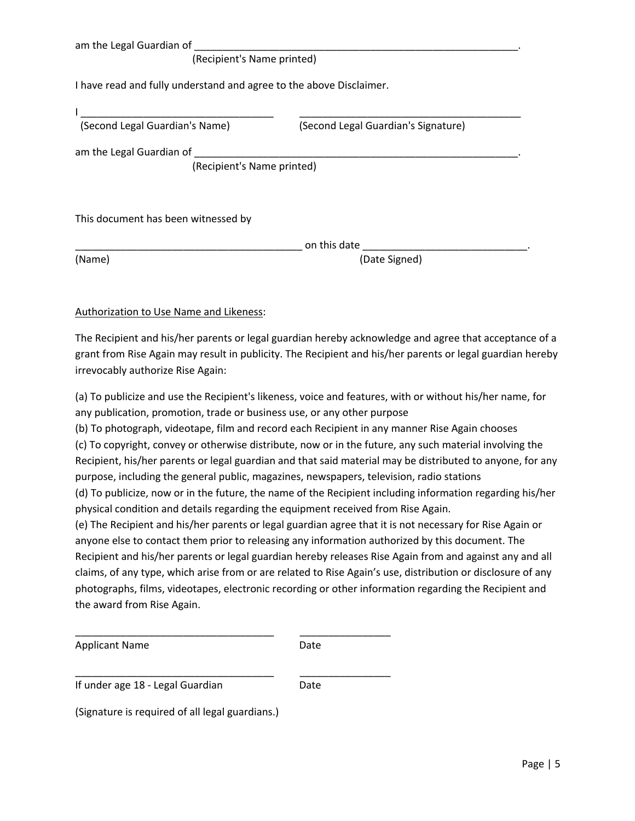| am the Legal Guardian of |  |
|--------------------------|--|
|                          |  |

#### (Recipient's Name printed)

I have read and fully understand and agree to the above Disclaimer.

| (Second Legal Guardian's Name)      | (Second Legal Guardian's Signature) |
|-------------------------------------|-------------------------------------|
| am the Legal Guardian of            |                                     |
| (Recipient's Name printed)          |                                     |
|                                     |                                     |
|                                     |                                     |
| This document has been witnessed by |                                     |
|                                     |                                     |

on this date

(Name) (Date Signed)

#### Authorization to Use Name and Likeness:

The Recipient and his/her parents or legal guardian hereby acknowledge and agree that acceptance of a grant from Rise Again may result in publicity. The Recipient and his/her parents or legal guardian hereby irrevocably authorize Rise Again:

(a) To publicize and use the Recipient's likeness, voice and features, with or without his/her name, for any publication, promotion, trade or business use, or any other purpose

(b) To photograph, videotape, film and record each Recipient in any manner Rise Again chooses (c) To copyright, convey or otherwise distribute, now or in the future, any such material involving the Recipient, his/her parents or legal guardian and that said material may be distributed to anyone, for any purpose, including the general public, magazines, newspapers, television, radio stations

(d) To publicize, now or in the future, the name of the Recipient including information regarding his/her physical condition and details regarding the equipment received from Rise Again.

(e) The Recipient and his/her parents or legal guardian agree that it is not necessary for Rise Again or anyone else to contact them prior to releasing any information authorized by this document. The Recipient and his/her parents or legal guardian hereby releases Rise Again from and against any and all claims, of any type, which arise from or are related to Rise Again's use, distribution or disclosure of any photographs, films, videotapes, electronic recording or other information regarding the Recipient and the award from Rise Again.

| <b>Applicant Name</b> | Date |
|-----------------------|------|
|                       |      |

\_\_\_\_\_\_\_\_\_\_\_\_\_\_\_\_\_\_\_\_\_\_\_\_\_\_\_\_\_\_\_\_\_\_\_ \_\_\_\_\_\_\_\_\_\_\_\_\_\_\_\_

\_\_\_\_\_\_\_\_\_\_\_\_\_\_\_\_\_\_\_\_\_\_\_\_\_\_\_\_\_\_\_\_\_\_\_ \_\_\_\_\_\_\_\_\_\_\_\_\_\_\_\_ If under age 18 - Legal Guardian Date

(Signature is required of all legal guardians.)